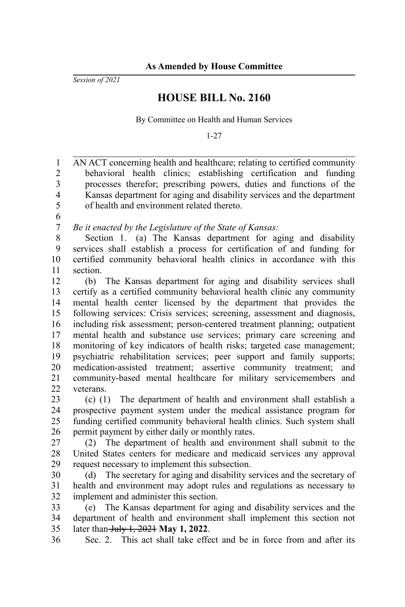*Session of 2021*

36

## **HOUSE BILL No. 2160**

By Committee on Health and Human Services

1-27

AN ACT concerning health and healthcare; relating to certified community behavioral health clinics; establishing certification and funding processes therefor; prescribing powers, duties and functions of the Kansas department for aging and disability services and the department of health and environment related thereto. *Be it enacted by the Legislature of the State of Kansas:* Section 1. (a) The Kansas department for aging and disability services shall establish a process for certification of and funding for certified community behavioral health clinics in accordance with this section. (b) The Kansas department for aging and disability services shall certify as a certified community behavioral health clinic any community mental health center licensed by the department that provides the following services: Crisis services; screening, assessment and diagnosis, including risk assessment; person-centered treatment planning; outpatient mental health and substance use services; primary care screening and monitoring of key indicators of health risks; targeted case management; psychiatric rehabilitation services; peer support and family supports; medication-assisted treatment; assertive community treatment; and community-based mental healthcare for military servicemembers and veterans. (c) (1) The department of health and environment shall establish a prospective payment system under the medical assistance program for funding certified community behavioral health clinics. Such system shall permit payment by either daily or monthly rates. (2) The department of health and environment shall submit to the United States centers for medicare and medicaid services any approval request necessary to implement this subsection. (d) The secretary for aging and disability services and the secretary of health and environment may adopt rules and regulations as necessary to implement and administer this section. (e) The Kansas department for aging and disability services and the department of health and environment shall implement this section not later than July 1, 2021 **May 1, 2022**. 1 2 3 4 5 6 7 8 9 10 11 12 13 14 15 16 17 18 19 20 21 22 23 24 25 26 27 28 29 30 31 32 33 34 35

Sec. 2. This act shall take effect and be in force from and after its